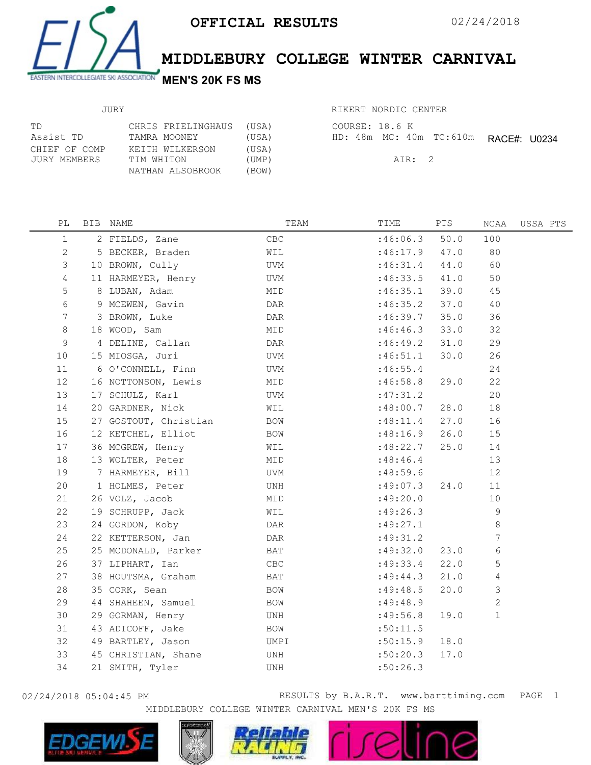

MIDDLEBURY COLLEGE WINTER CARNIVAL

## JURY

| TD.           | CHRIS FRIELINGHAUS | (USA) |
|---------------|--------------------|-------|
| Assist TD     | TAMRA MOONEY       | (USA) |
| CHIEF OF COMP | KEITH WILKERSON    | (USA) |
| JURY MEMBERS  | TIM WHITON         | (UMP) |
|               | NATHAN ALSOBROOK   | (BOW) |

| RIKERT NORDIC CENTER |  |
|----------------------|--|
|                      |  |

|  | COURSE: 18.6 K |        |                                       |  |
|--|----------------|--------|---------------------------------------|--|
|  |                |        | HD: 48m MC: 40m TC: 610m RACE#: U0234 |  |
|  |                | ATR: 2 |                                       |  |

| PL              | BIB NAME              | TEAM       | TIME       | PTS  | NCAA           | USSA PTS |
|-----------------|-----------------------|------------|------------|------|----------------|----------|
| $\mathbf 1$     | 2 FIELDS, Zane        | CBC        | :46:06.3   | 50.0 | 100            |          |
| 2               | 5 BECKER, Braden      | WIL        | :46:17.9   | 47.0 | 80             |          |
| 3               | 10 BROWN, Cully       | UVM        | :46:31.4   | 44.0 | 60             |          |
| 4               | 11 HARMEYER, Henry    | UVM        | :46:33.5   | 41.0 | 50             |          |
| 5               | 8 LUBAN, Adam         | MID        | :46:35.1   | 39.0 | 45             |          |
| 6               | 9 MCEWEN, Gavin       | DAR        | :46:35.2   | 37.0 | 40             |          |
| $7\phantom{.0}$ | 3 BROWN, Luke         | DAR        | :46:39.7   | 35.0 | 36             |          |
| 8               | 18 WOOD, Sam          | MID        | :46:46.3   | 33.0 | 32             |          |
| 9               | 4 DELINE, Callan      | DAR        | :46:49.2   | 31.0 | 29             |          |
| 10              | 15 MIOSGA, Juri       | UVM        | :46:51.1   | 30.0 | 26             |          |
| 11              | 6 O'CONNELL, Finn     | UVM        | :46:55.4   |      | 24             |          |
| 12              | 16 NOTTONSON, Lewis   | MID        | :46:58.8   | 29.0 | 22             |          |
| 13              | 17 SCHULZ, Karl       | UVM        | :47:31.2   |      | 20             |          |
| 14              | 20 GARDNER, Nick      | WIL        | :48:00.7   | 28.0 | 18             |          |
| 15              | 27 GOSTOUT, Christian | <b>BOW</b> | :48:11.4   | 27.0 | 16             |          |
| 16              | 12 KETCHEL, Elliot    | BOW        | :48:16.9   | 26.0 | 15             |          |
| 17              | 36 MCGREW, Henry      | WIL        | :48:22.7   | 25.0 | 14             |          |
| 18              | 13 WOLTER, Peter      | MID        | :48:46.4   |      | 13             |          |
| 19              | 7 HARMEYER, Bill      | UVM        | :48:59.6   |      | 12             |          |
| 20              | 1 HOLMES, Peter       | UNH        | :49:07.3   | 24.0 | 11             |          |
| 21              | 26 VOLZ, Jacob        | MID        | :49:20.0   |      | 10             |          |
| 22              | 19 SCHRUPP, Jack      | WIL        | :49:26.3   |      | 9              |          |
| 23              | 24 GORDON, Koby       | DAR        | :49:27.1   |      | $\,8\,$        |          |
| 24              | 22 KETTERSON, Jan     | DAR        | :49:31.2   |      | 7              |          |
| 25              | 25 MCDONALD, Parker   | BAT        | :49:32.0   | 23.0 | 6              |          |
| 26              | 37 LIPHART, Ian       | CBC        | :49:33.4   | 22.0 | 5              |          |
| 27              | 38 HOUTSMA, Graham    | BAT        | :49:44.3   | 21.0 | 4              |          |
| 28              | 35 CORK, Sean         | BOW        | :49:48.5   | 20.0 | 3              |          |
| 29              | 44 SHAHEEN, Samuel    | BOW        | : 49: 48.9 |      | $\overline{c}$ |          |
| 30              | 29 GORMAN, Henry      | UNH        | :49:56.8   | 19.0 | $\mathbf{1}$   |          |
| 31              | 43 ADICOFF, Jake      | BOW        | :50:11.5   |      |                |          |
| 32              | 49 BARTLEY, Jason     | UMPI       | :50:15.9   | 18.0 |                |          |
| 33              | 45 CHRISTIAN, Shane   | UNH        | :50:20.3   | 17.0 |                |          |
| 34              | 21 SMITH, Tyler       | UNH        | :50:26.3   |      |                |          |
|                 |                       |            |            |      |                |          |

02/24/2018 05:04:45 PM RESULTS by B.A.R.T. www.barttiming.com 1 PAGEMIDDLEBURY COLLEGE WINTER CARNIVAL MEN'S 20K FS MS